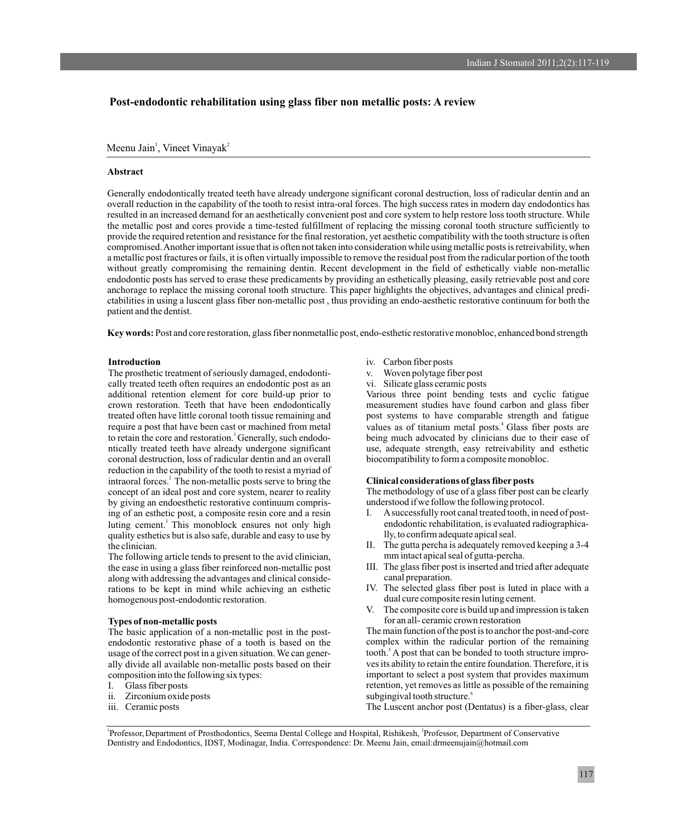# **Post-endodontic rehabilitation using glass fiber non metallic posts: A review**

Meenu Jain<sup>1</sup>, Vineet Vinayak<sup>2</sup>

### **Abstract**

Generally endodontically treated teeth have already undergone significant coronal destruction, loss of radicular dentin and an overall reduction in the capability of the tooth to resist intra-oral forces. The high success rates in modern day endodontics has resulted in an increased demand for an aesthetically convenient post and core system to help restore loss tooth structure. While the metallic post and cores provide a time-tested fulfillment of replacing the missing coronal tooth structure sufficiently to provide the required retention and resistance for the final restoration, yet aesthetic compatibility with the tooth structure is often compromised. Another important issue that is often not taken into consideration while using metallic posts is retreivability, when a metallic post fractures or fails, it is often virtually impossible to remove the residual post from the radicular portion of the tooth without greatly compromising the remaining dentin. Recent development in the field of esthetically viable non-metallic endodontic posts has served to erase these predicaments by providing an esthetically pleasing, easily retrievable post and core anchorage to replace the missing coronal tooth structure. This paper highlights the objectives, advantages and clinical predictabilities in using a luscent glass fiber non-metallic post , thus providing an endo-aesthetic restorative continuum for both the patient and the dentist.

**Key words:** Post and core restoration, glass fiber nonmetallic post, endo-esthetic restorative monobloc, enhanced bond strength

## **Introduction**

The prosthetic treatment of seriously damaged, endodonti- v. Woven polytage fiber post cally treated teeth often requires an endodontic post as an vi. Silicate glass ceramic posts additional retention element for core build-up prior to Various three point bending tests and cyclic fatigue crown restoration. Teeth that have been endodontically measurement studies have found carbon and glass fiber treated often have little coronal tooth tissue remaining and post systems to have comparable strength and fatigue require a post that have been cast or machined from metal values as of titanium metal posts.<sup>4</sup> Glass fiber posts are <sup>1</sup>to retain the core and restoration. Generally, such endodo- being much advocated by clinicians due to their ease of ntically treated teeth have already undergone significant use, adequate strength, easy retreivability and esthetic coronal destruction, loss of radicular dentin and an overall biocompatibility to form a composite monobloc. reduction in the capability of the tooth to resist a myriad of intraoral forces.<sup>2</sup> The non-metallic posts serve to bring the **Clinical considerations of glass fiber posts** concept of an ideal post and core system, nearer to reality The methodology of use of a glass fiber post can be concept of an ideal post and core system, nearer to reality by giving an endoesthetic restorative continuum compris-<br>ing of an esthetic post, a composite resin core and a resin I. A successfully root canal treated tooth, in need of posting of an esthetic post, a composite resin core and a resin I. luting cement.<sup>3</sup> This monoblock ensures not only high endodontic rehabilitation, is evaluated radiographicaquality esthetics but is also safe, durable and easy to use by lly, to confirm adequate apical seal.

The following article tends to present to the avid clinician, mm intact apical seal of gutta-percha.<br>the ease in using a glass fiber reinforced non-metallic post III. The glass fiber post is inserted and tried after adequa the ease in using a glass fiber reinforced non-metallic post along with addressing the advantages and clinical conside- canal preparation. rations to be kept in mind while achieving an esthetic IV. The selected glass fiber post is luted in place with a homogenous post-endodontic restoration. homogenous post-endodontic restoration.  $\mathbf{V}_{\cdot}$ 

endodontic restorative phase of a tooth is based on the usage of the correct post in a given situation. We can gener-

- 
- 
- 
- iv. Carbon fiber posts
- 
- 

- 
- the clinician.<br>The gutta percha is adequately removed keeping a 3-4<br>The following article tends to present to the avid clinician.<br>The following article tends to present to the avid clinician.<br>The gutta percha is adequately
	-
	-
- The composite core is build up and impression is taken **Types of non-metallic posts** for an all- ceramic crown restoration<br>The basic application of a non-metallic post in the post-<br>The main function of the post is to anchor the post-and-core

The basic application of a non-metallic post in the post-<br>
The main function of the post is to anchor the post-<br>
The main function of the post-and-core<br>

complex within the radicular portion of the remaining tooth.<sup>5</sup> A post that can be bonded to tooth structure improally divide all available non-metallic posts based on their ves its ability to retain the entire foundation. Therefore, it is composition into the following six types: important to select a post system that provides maximum I. Glass fiber posts retention, yet removes as little as possible of the remaining ii. Zirconium oxide posts subgingival tooth structure.<sup>6</sup>

iii. Ceramic posts The Luscent anchor post (Dentatus) is a fiber-glass, clear

<sup>1</sup> Professor, Department of Prosthodontics, Seema Dental College and Hospital, Rishikesh, <sup>2</sup> Professor, Department of Conservative Dentistry and Endodontics, IDST, Modinagar, India. Correspondence: Dr. Meenu Jain, email:drmeenujain@hotmail.com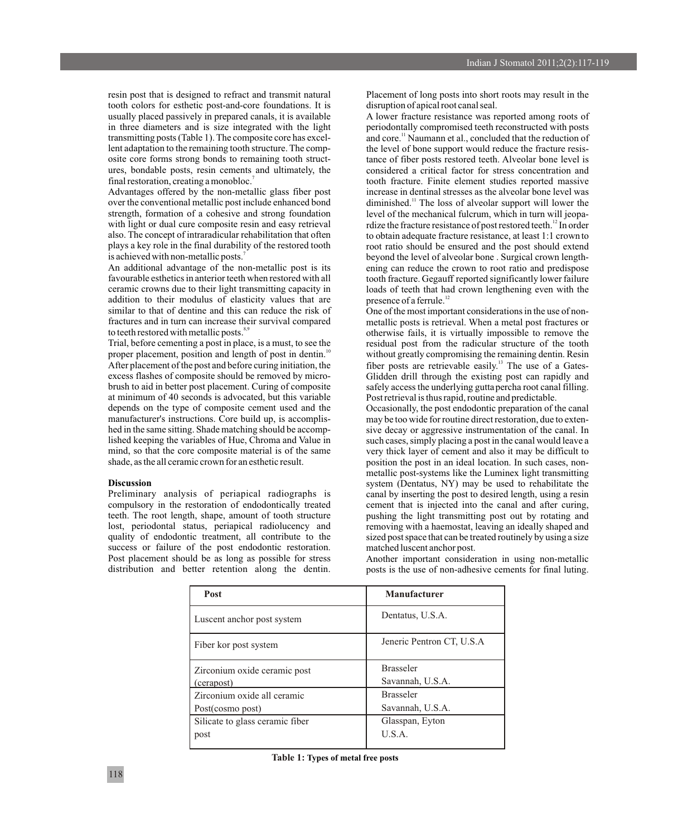tooth colors for esthetic post-and-core foundations. It is disruption of apical root canal seal. usually placed passively in prepared canals, it is available A lower fracture resistance was reported among roots of in three diameters and is size integrated with the light periodontally compromised teeth reconstructed with posts transmitting posts (Table 1). The composite core has excel- and core.<sup>11</sup> Naumann et al., concluded that the reduction of lent adaptation to the remaining tooth structure. The comp-<br>osite core forms strong bonds to remaining tooth struct-<br>tance of fiber posts restored teeth. Alveolar bone level is osite core forms strong bonds to remaining tooth struct-<br>ures, bondable posts, resin cements and ultimately, the considered a critical factor for stress concentration and final restoration, creating a monobloc.

Advantages offered by the non-metallic glass fiber post increase in dentinal stresses as the alveolar bone level was over the conventional metallic post include enhanced bond diminished.<sup>11</sup> The loss of alveolar support will lower the strength, formation of a cohesive and strong foundation level of the mechanical fulcrum, which in turn will jeopawith light or dual cure composite resin and easy retrieval rdize the fracture resistance of post restored teeth.<sup>12</sup> In order also. The concept of intraradicular rehabilitation that often to obtain adequate fracture resist also. The concept of intraradicular rehabilitation that often to obtain adequate fracture resistance, at least 1:1 crown to plays a key role in the final durability of the restored tooth root ratio should be ensured and th is achieved with non-metallic posts.<sup>7</sup>

favourable esthetics in anterior teeth when restored with all tooth fracture. Gegauff reported significantly lower failure ceramic crowns due to their light transmitting capacity in loads of teeth that had crown lengthening even with the addition to their modulus of elasticity values that are presence of a ferrule.<sup>12</sup> addition to their modulus of elasticity values that are similar to that of dentine and this can reduce the risk of similar to that of dentine and this can reduce the risk of One of the most important considerations in the use of non-<br>fractures and in turn can increase their survival compared metallic posts is retrieval. When a metal po

proper placement, position and length of post in dentin.<sup>10</sup> After placement of the post and before curing initiation, the fiber posts are retrievable easily.<sup>13</sup> The use of a Gatesexcess flashes of composite should be removed by micro- Glidden drill through the existing post can rapidly and brush to aid in better post placement. Curing of composite safely access the underlying guttapercha root canal filling. at minimum of 40 seconds is advocated, but this variable Post retrieval is thus rapid, routine and predictable.<br>
Post retrieval is thus rapid, routine and predictable.<br>
Occasionally, the post endodontic preparation of t manufacturer's instructions. Core build up, is accomplis-<br>hed in the same sitting. Shade matching should be accomp-<br>sive decay or aggressive instrumentation of the canal. In hed in the same sitting. Shade matching should be accomp-<br>lished keeping the variables of Hue, Chroma and Value in such cases, simply placing a post in the canal would leave a mind, so that the core composite material is of the same very thick layer of cement and also it may be difficult to

compulsory in the restoration of endodontically treated cement that is injected into the canal and after curing, teeth. The root length, shape, amount of tooth structure pushing the light transmitting post out by rotating and lost, periodontal status, periapical radiolucency and removing with a haemostat, leaving an ideally shaped and quality of endodontic treatment, all contribute to the sized post space that can be treated routinely by using a size<br>success or failure of the post endodontic restoration. The matched luscent anchor post. success or failure of the post endodontic restoration. Post placement should be as long as possible for stress Another important consideration in using non-metallic distribution and better retention along the dentin. posts is the use of non-adhesive cements for final luting.

resin post that is designed to refract and transmit natural Placement of long posts into short roots may result in the

considered a critical factor for stress concentration and tooth fracture. Finite element studies reported massive root ratio should be ensured and the post should extend is achieved with non-metallic posts.<sup>7</sup> beyond the level of alveolar bone . Surgical crown length-<br>An additional advantage of the non-metallic post is its ening can reduce the crown to root ratio and predispose ening can reduce the crown to root ratio and predispose

fractures and in turn can increase their survival compared metallic posts is retrieval. When a metal post fractures or to teeth restored with metallic posts.<sup>8,9</sup> or the originally impossible to remove the otherwise fails, it is virtually impossible to remove the Trial, before cementing a post in place, is a must, to see the residual post from the radicular structure of the tooth without greatly compromising the remaining dentin. Resin

Occasionally, the post endodontic preparation of the canal such cases, simply placing a post in the canal would leave a shade, as the all ceramic crown for an esthetic result. position the post in an ideal location. In such cases, nonmetallic post-systems like the Luminex light transmitting **Discussion**<br>**Preliminary** analysis of periapical radiographs is canal by inserting the post to desired length, using a resin canal by inserting the post to desired length, using a resin

posts is the use of non-adhesive cements for final luting.

| <b>Post</b>                     | <b>Manufacturer</b>       |
|---------------------------------|---------------------------|
| Luscent anchor post system      | Dentatus, U.S.A.          |
| Fiber kor post system           | Jeneric Pentron CT, U.S.A |
| Zirconium oxide ceramic post    | <b>Brasseler</b>          |
| (cerapost)                      | Savannah, U.S.A.          |
| Zirconium oxide all ceramic     | <b>Brasseler</b>          |
| Post(cosmo post)                | Savannah, U.S.A.          |
| Silicate to glass ceramic fiber | Glasspan, Eyton           |
| post                            | U.S.A.                    |

**Table 1: Types of metal free posts**